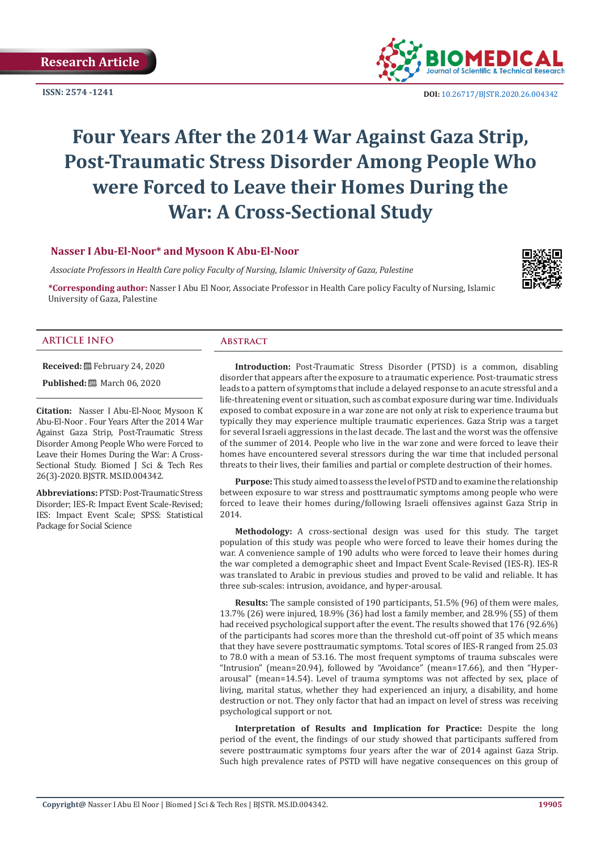**ISSN: 2574 -1241**



 **DOI:** [10.26717/BJSTR.2020.26.004342](http://dx.doi.org/10.26717/BJSTR.2020.26.004342)

# **Four Years After the 2014 War Against Gaza Strip, Post-Traumatic Stress Disorder Among People Who were Forced to Leave their Homes During the War: A Cross-Sectional Study**

# **Nasser I Abu-El-Noor\* and Mysoon K Abu-El-Noor**

 *Associate Professors in Health Care policy Faculty of Nursing, Islamic University of Gaza, Palestine*

**\*Corresponding author:** Nasser I Abu El Noor, Associate Professor in Health Care policy Faculty of Nursing, Islamic University of Gaza, Palestine



#### **ARTICLE INFO Abstract**

**Received:** February 24, 2020 **Published:** ■ March 06, 2020

26(3)-2020. BJSTR. MS.ID.004342.

Package for Social Science

**Citation:** Nasser I Abu-El-Noor, Mysoon K Abu-El-Noor . Four Years After the 2014 War Against Gaza Strip, Post-Traumatic Stress Disorder Among People Who were Forced to Leave their Homes During the War: A Cross-Sectional Study. Biomed J Sci & Tech Res

**Abbreviations:** PTSD: Post-Traumatic Stress Disorder; IES-R: Impact Event Scale-Revised; IES: Impact Event Scale; SPSS: Statistical

**Introduction:** Post-Traumatic Stress Disorder (PTSD) is a common, disabling disorder that appears after the exposure to a traumatic experience. Post-traumatic stress leads to a pattern of symptoms that include a delayed response to an acute stressful and a life-threatening event or situation, such as combat exposure during war time. Individuals exposed to combat exposure in a war zone are not only at risk to experience trauma but typically they may experience multiple traumatic experiences. Gaza Strip was a target for several Israeli aggressions in the last decade. The last and the worst was the offensive of the summer of 2014. People who live in the war zone and were forced to leave their homes have encountered several stressors during the war time that included personal threats to their lives, their families and partial or complete destruction of their homes.

**Purpose:** This study aimed to assess the level of PSTD and to examine the relationship between exposure to war stress and posttraumatic symptoms among people who were forced to leave their homes during/following Israeli offensives against Gaza Strip in 2014.

**Methodology:** A cross-sectional design was used for this study. The target population of this study was people who were forced to leave their homes during the war. A convenience sample of 190 adults who were forced to leave their homes during the war completed a demographic sheet and Impact Event Scale-Revised (IES-R). IES-R was translated to Arabic in previous studies and proved to be valid and reliable. It has three sub-scales: intrusion, avoidance, and hyper-arousal.

**Results:** The sample consisted of 190 participants, 51.5% (96) of them were males, 13.7% (26) were injured, 18.9% (36) had lost a family member, and 28.9% (55) of them had received psychological support after the event. The results showed that 176 (92.6%) of the participants had scores more than the threshold cut-off point of 35 which means that they have severe posttraumatic symptoms. Total scores of IES-R ranged from 25.03 to 78.0 with a mean of 53.16. The most frequent symptoms of trauma subscales were "Intrusion" (mean=20.94), followed by "Avoidance" (mean=17.66), and then "Hyperarousal" (mean=14.54). Level of trauma symptoms was not affected by sex, place of living, marital status, whether they had experienced an injury, a disability, and home destruction or not. They only factor that had an impact on level of stress was receiving psychological support or not.

**Interpretation of Results and Implication for Practice:** Despite the long period of the event, the findings of our study showed that participants suffered from severe posttraumatic symptoms four years after the war of 2014 against Gaza Strip. Such high prevalence rates of PSTD will have negative consequences on this group of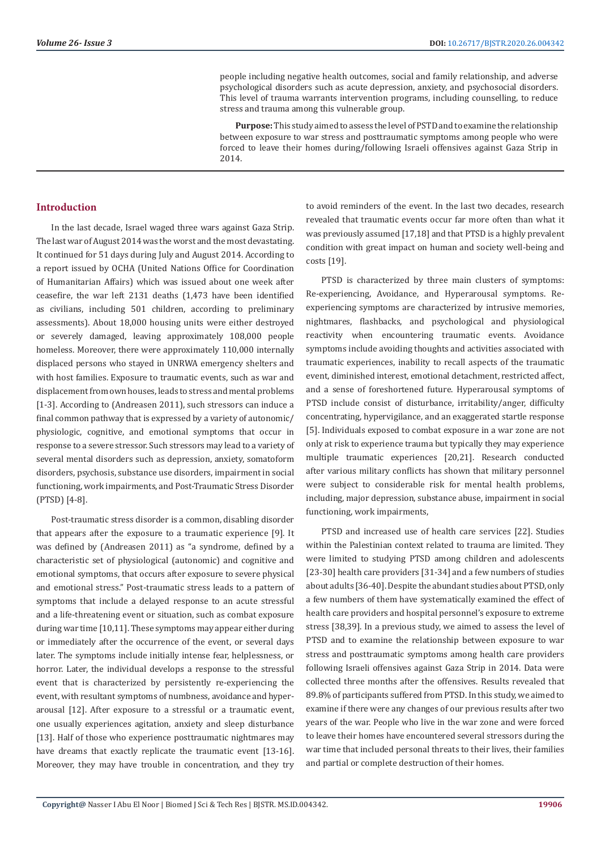people including negative health outcomes, social and family relationship, and adverse psychological disorders such as acute depression, anxiety, and psychosocial disorders. This level of trauma warrants intervention programs, including counselling, to reduce stress and trauma among this vulnerable group.

**Purpose:** This study aimed to assess the level of PSTD and to examine the relationship between exposure to war stress and posttraumatic symptoms among people who were forced to leave their homes during/following Israeli offensives against Gaza Strip in 2014.

## **Introduction**

In the last decade, Israel waged three wars against Gaza Strip. The last war of August 2014 was the worst and the most devastating. It continued for 51 days during July and August 2014. According to a report issued by OCHA (United Nations Office for Coordination of Humanitarian Affairs) which was issued about one week after ceasefire, the war left 2131 deaths (1,473 have been identified as civilians, including 501 children, according to preliminary assessments). About 18,000 housing units were either destroyed or severely damaged, leaving approximately 108,000 people homeless. Moreover, there were approximately 110,000 internally displaced persons who stayed in UNRWA emergency shelters and with host families. Exposure to traumatic events, such as war and displacement from own houses, leads to stress and mental problems [1-3]. According to (Andreasen 2011), such stressors can induce a final common pathway that is expressed by a variety of autonomic/ physiologic, cognitive, and emotional symptoms that occur in response to a severe stressor. Such stressors may lead to a variety of several mental disorders such as depression, anxiety, somatoform disorders, psychosis, substance use disorders, impairment in social functioning, work impairments, and Post-Traumatic Stress Disorder (PTSD) [4-8].

Post-traumatic stress disorder is a common, disabling disorder that appears after the exposure to a traumatic experience [9]. It was defined by (Andreasen 2011) as "a syndrome, defined by a characteristic set of physiological (autonomic) and cognitive and emotional symptoms, that occurs after exposure to severe physical and emotional stress." Post-traumatic stress leads to a pattern of symptoms that include a delayed response to an acute stressful and a life-threatening event or situation, such as combat exposure during war time [10,11]. These symptoms may appear either during or immediately after the occurrence of the event, or several days later. The symptoms include initially intense fear, helplessness, or horror. Later, the individual develops a response to the stressful event that is characterized by persistently re-experiencing the event, with resultant symptoms of numbness, avoidance and hyperarousal [12]. After exposure to a stressful or a traumatic event, one usually experiences agitation, anxiety and sleep disturbance [13]. Half of those who experience posttraumatic nightmares may have dreams that exactly replicate the traumatic event [13-16]. Moreover, they may have trouble in concentration, and they try

to avoid reminders of the event. In the last two decades, research revealed that traumatic events occur far more often than what it was previously assumed [17,18] and that PTSD is a highly prevalent condition with great impact on human and society well-being and costs [19].

PTSD is characterized by three main clusters of symptoms: Re-experiencing, Avoidance, and Hyperarousal symptoms. Reexperiencing symptoms are characterized by intrusive memories, nightmares, flashbacks, and psychological and physiological reactivity when encountering traumatic events. Avoidance symptoms include avoiding thoughts and activities associated with traumatic experiences, inability to recall aspects of the traumatic event, diminished interest, emotional detachment, restricted affect, and a sense of foreshortened future. Hyperarousal symptoms of PTSD include consist of disturbance, irritability/anger, difficulty concentrating, hypervigilance, and an exaggerated startle response [5]. Individuals exposed to combat exposure in a war zone are not only at risk to experience trauma but typically they may experience multiple traumatic experiences [20,21]. Research conducted after various military conflicts has shown that military personnel were subject to considerable risk for mental health problems, including, major depression, substance abuse, impairment in social functioning, work impairments,

PTSD and increased use of health care services [22]. Studies within the Palestinian context related to trauma are limited. They were limited to studying PTSD among children and adolescents [23-30] health care providers [31-34] and a few numbers of studies about adults [36-40]. Despite the abundant studies about PTSD, only a few numbers of them have systematically examined the effect of health care providers and hospital personnel's exposure to extreme stress [38,39]. In a previous study, we aimed to assess the level of PTSD and to examine the relationship between exposure to war stress and posttraumatic symptoms among health care providers following Israeli offensives against Gaza Strip in 2014. Data were collected three months after the offensives. Results revealed that 89.8% of participants suffered from PTSD. In this study, we aimed to examine if there were any changes of our previous results after two years of the war. People who live in the war zone and were forced to leave their homes have encountered several stressors during the war time that included personal threats to their lives, their families and partial or complete destruction of their homes.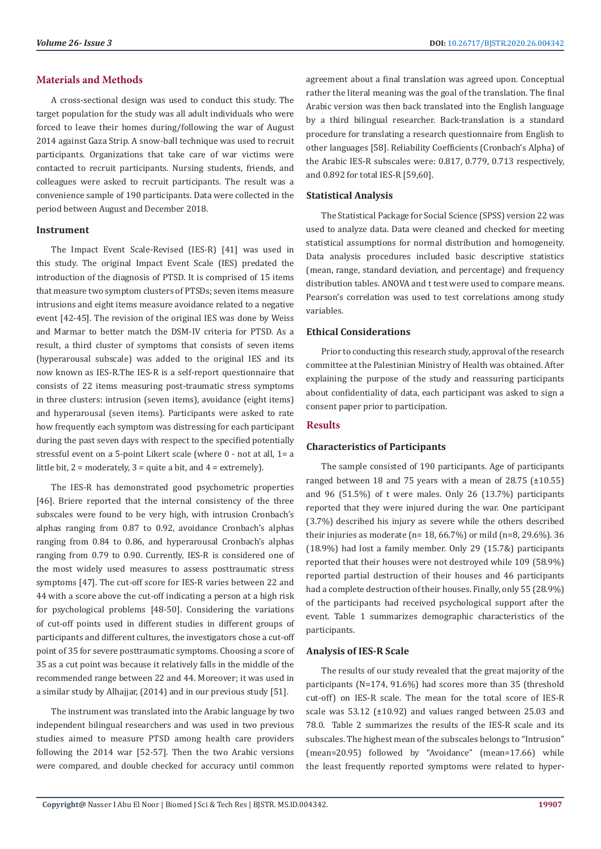## **Materials and Methods**

A cross-sectional design was used to conduct this study. The target population for the study was all adult individuals who were forced to leave their homes during/following the war of August 2014 against Gaza Strip. A snow-ball technique was used to recruit participants. Organizations that take care of war victims were contacted to recruit participants. Nursing students, friends, and colleagues were asked to recruit participants. The result was a convenience sample of 190 participants. Data were collected in the period between August and December 2018.

#### **Instrument**

The Impact Event Scale-Revised (IES-R) [41] was used in this study. The original Impact Event Scale (IES) predated the introduction of the diagnosis of PTSD. It is comprised of 15 items that measure two symptom clusters of PTSDs; seven items measure intrusions and eight items measure avoidance related to a negative event [42-45]. The revision of the original IES was done by Weiss and Marmar to better match the DSM-IV criteria for PTSD. As a result, a third cluster of symptoms that consists of seven items (hyperarousal subscale) was added to the original IES and its now known as IES-R.The IES-R is a self-report questionnaire that consists of 22 items measuring post-traumatic stress symptoms in three clusters: intrusion (seven items), avoidance (eight items) and hyperarousal (seven items). Participants were asked to rate how frequently each symptom was distressing for each participant during the past seven days with respect to the specified potentially stressful event on a 5-point Likert scale (where 0 - not at all, 1= a little bit, 2 = moderately, 3 = quite a bit, and 4 = extremely).

The IES-R has demonstrated good psychometric properties [46]. Briere reported that the internal consistency of the three subscales were found to be very high, with intrusion Cronbach's alphas ranging from 0.87 to 0.92, avoidance Cronbach's alphas ranging from 0.84 to 0.86, and hyperarousal Cronbach's alphas ranging from 0.79 to 0.90. Currently, IES-R is considered one of the most widely used measures to assess posttraumatic stress symptoms [47]. The cut-off score for IES-R varies between 22 and 44 with a score above the cut-off indicating a person at a high risk for psychological problems [48-50]. Considering the variations of cut-off points used in different studies in different groups of participants and different cultures, the investigators chose a cut-off point of 35 for severe posttraumatic symptoms. Choosing a score of 35 as a cut point was because it relatively falls in the middle of the recommended range between 22 and 44. Moreover; it was used in a similar study by Alhajjar, (2014) and in our previous study [51].

The instrument was translated into the Arabic language by two independent bilingual researchers and was used in two previous studies aimed to measure PTSD among health care providers following the 2014 war [52-57]. Then the two Arabic versions were compared, and double checked for accuracy until common

agreement about a final translation was agreed upon. Conceptual rather the literal meaning was the goal of the translation. The final Arabic version was then back translated into the English language by a third bilingual researcher. Back-translation is a standard procedure for translating a research questionnaire from English to other languages [58]. Reliability Coefficients (Cronbach's Alpha) of the Arabic IES-R subscales were: 0.817, 0.779, 0.713 respectively, and 0.892 for total IES-R [59,60].

# **Statistical Analysis**

The Statistical Package for Social Science (SPSS) version 22 was used to analyze data. Data were cleaned and checked for meeting statistical assumptions for normal distribution and homogeneity. Data analysis procedures included basic descriptive statistics (mean, range, standard deviation, and percentage) and frequency distribution tables. ANOVA and t test were used to compare means. Pearson's correlation was used to test correlations among study variables.

## **Ethical Considerations**

Prior to conducting this research study, approval of the research committee at the Palestinian Ministry of Health was obtained. After explaining the purpose of the study and reassuring participants about confidentiality of data, each participant was asked to sign a consent paper prior to participation.

# **Results**

## **Characteristics of Participants**

The sample consisted of 190 participants. Age of participants ranged between 18 and 75 years with a mean of 28.75  $(\pm 10.55)$ and 96 (51.5%) of t were males. Only 26 (13.7%) participants reported that they were injured during the war. One participant (3.7%) described his injury as severe while the others described their injuries as moderate (n= 18, 66.7%) or mild (n=8, 29.6%). 36 (18.9%) had lost a family member. Only 29 (15.7&) participants reported that their houses were not destroyed while 109 (58.9%) reported partial destruction of their houses and 46 participants had a complete destruction of their houses. Finally, only 55 (28.9%) of the participants had received psychological support after the event. Table 1 summarizes demographic characteristics of the participants.

## **Analysis of IES-R Scale**

The results of our study revealed that the great majority of the participants (N=174, 91.6%) had scores more than 35 (threshold cut-off) on IES-R scale. The mean for the total score of IES-R scale was 53.12 (±10.92) and values ranged between 25.03 and 78.0. Table 2 summarizes the results of the IES-R scale and its subscales. The highest mean of the subscales belongs to "Intrusion" (mean=20.95) followed by "Avoidance" (mean=17.66) while the least frequently reported symptoms were related to hyper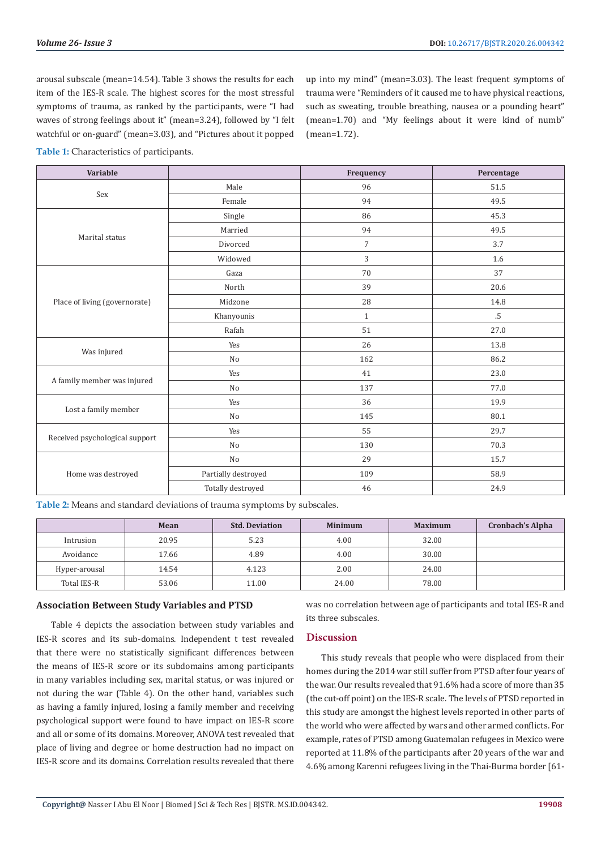arousal subscale (mean=14.54). Table 3 shows the results for each item of the IES-R scale. The highest scores for the most stressful symptoms of trauma, as ranked by the participants, were "I had waves of strong feelings about it" (mean=3.24), followed by "I felt watchful or on-guard" (mean=3.03), and "Pictures about it popped

up into my mind" (mean=3.03). The least frequent symptoms of trauma were "Reminders of it caused me to have physical reactions, such as sweating, trouble breathing, nausea or a pounding heart" (mean=1.70) and "My feelings about it were kind of numb" (mean=1.72).

**Table 1:** Characteristics of participants.

| Variable                       |                     |                | Percentage |  |
|--------------------------------|---------------------|----------------|------------|--|
| Sex                            | Male                | 96             | 51.5       |  |
|                                | Female              | 94             | 49.5       |  |
|                                | Single              | 86             | 45.3       |  |
| Marital status                 | Married             | 94             | 49.5       |  |
|                                | Divorced            | $\overline{7}$ | 3.7        |  |
|                                | Widowed             | 3              | 1.6        |  |
|                                | Gaza                | 70             | 37         |  |
|                                | North               | 39             | 20.6       |  |
| Place of living (governorate)  | Midzone             | 28             | 14.8       |  |
|                                | Khanyounis          | $\mathbf{1}$   | $.5\,$     |  |
|                                | Rafah               | 51             | 27.0       |  |
|                                | Yes                 | 26             | 13.8       |  |
| Was injured                    | No                  | 162            | 86.2       |  |
| A family member was injured    | Yes                 | 41             | 23.0       |  |
|                                | No                  | 137            | 77.0       |  |
| Lost a family member           | Yes                 | 36             | 19.9       |  |
|                                | No                  | 145            | 80.1       |  |
| Received psychological support | Yes                 | 55             | 29.7       |  |
|                                | No                  | 130            | 70.3       |  |
|                                | No                  | 29             | 15.7       |  |
| Home was destroyed             | Partially destroyed | 109            | 58.9       |  |
|                                | Totally destroyed   | 46             | 24.9       |  |

**Table 2:** Means and standard deviations of trauma symptoms by subscales.

|                    | Mean  | <b>Std. Deviation</b> | <b>Minimum</b> | <b>Maximum</b> | <b>Cronbach's Alpha</b> |
|--------------------|-------|-----------------------|----------------|----------------|-------------------------|
| Intrusion          | 20.95 | 5.23                  | 4.00           | 32.00          |                         |
| Avoidance          | 17.66 | 4.89                  | 4.00           | 30.00          |                         |
| Hyper-arousal      | 14.54 | 4.123                 | 2.00           | 24.00          |                         |
| <b>Total IES-R</b> | 53.06 | 11.00                 | 24.00          | 78.00          |                         |

#### **Association Between Study Variables and PTSD**

Table 4 depicts the association between study variables and IES-R scores and its sub-domains. Independent t test revealed that there were no statistically significant differences between the means of IES-R score or its subdomains among participants in many variables including sex, marital status, or was injured or not during the war (Table 4). On the other hand, variables such as having a family injured, losing a family member and receiving psychological support were found to have impact on IES-R score and all or some of its domains. Moreover, ANOVA test revealed that place of living and degree or home destruction had no impact on IES-R score and its domains. Correlation results revealed that there

was no correlation between age of participants and total IES-R and its three subscales.

# **Discussion**

This study reveals that people who were displaced from their homes during the 2014 war still suffer from PTSD after four years of the war. Our results revealed that 91.6% had a score of more than 35 (the cut-off point) on the IES-R scale. The levels of PTSD reported in this study are amongst the highest levels reported in other parts of the world who were affected by wars and other armed conflicts. For example, rates of PTSD among Guatemalan refugees in Mexico were reported at 11.8% of the participants after 20 years of the war and 4.6% among Karenni refugees living in the Thai-Burma border [61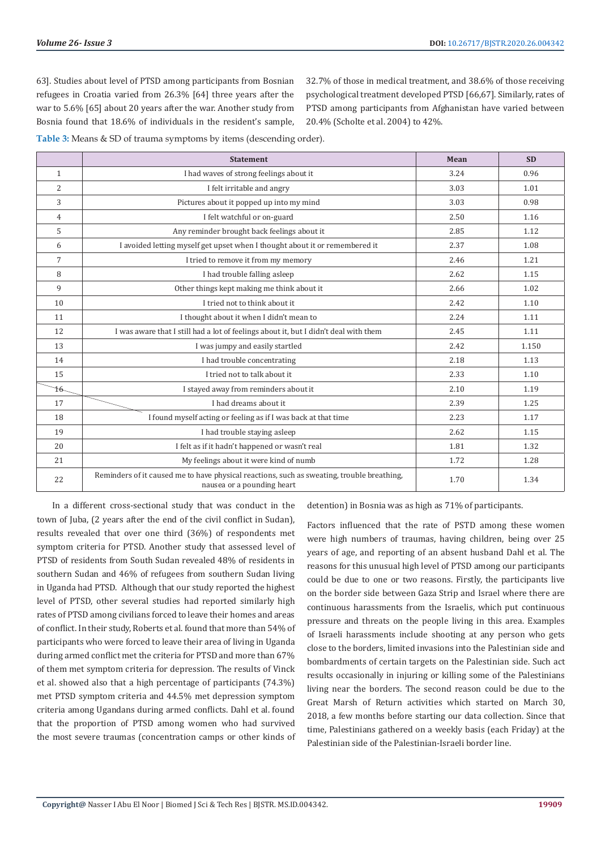63]. Studies about level of PTSD among participants from Bosnian refugees in Croatia varied from 26.3% [64] three years after the war to 5.6% [65] about 20 years after the war. Another study from Bosnia found that 18.6% of individuals in the resident's sample, 32.7% of those in medical treatment, and 38.6% of those receiving psychological treatment developed PTSD [66,67]. Similarly, rates of PTSD among participants from Afghanistan have varied between 20.4% (Scholte et al. 2004) to 42%.

**Table 3:** Means & SD of trauma symptoms by items (descending order).

|                | <b>Statement</b>                                                                                                         | <b>Mean</b> | <b>SD</b> |
|----------------|--------------------------------------------------------------------------------------------------------------------------|-------------|-----------|
| $\mathbf{1}$   | I had waves of strong feelings about it                                                                                  | 3.24        | 0.96      |
| $\overline{2}$ | I felt irritable and angry                                                                                               | 3.03        | 1.01      |
| 3              | Pictures about it popped up into my mind                                                                                 | 3.03        | 0.98      |
| 4              | I felt watchful or on-guard                                                                                              | 2.50        | 1.16      |
| 5              | Any reminder brought back feelings about it                                                                              | 2.85        | 1.12      |
| 6              | I avoided letting myself get upset when I thought about it or remembered it                                              | 2.37        | 1.08      |
| 7              | I tried to remove it from my memory                                                                                      | 2.46        | 1.21      |
| 8              | I had trouble falling asleep                                                                                             | 2.62        | 1.15      |
| 9              | Other things kept making me think about it                                                                               | 2.66        | 1.02      |
| 10             | I tried not to think about it                                                                                            | 2.42        | 1.10      |
| 11             | I thought about it when I didn't mean to                                                                                 | 2.24        | 1.11      |
| 12             | I was aware that I still had a lot of feelings about it, but I didn't deal with them                                     | 2.45        | 1.11      |
| 13             | I was jumpy and easily startled                                                                                          | 2.42        | 1.150     |
| 14             | I had trouble concentrating                                                                                              | 2.18        | 1.13      |
| 15             | I tried not to talk about it.                                                                                            | 2.33        | 1.10      |
| 16.            | I stayed away from reminders about it                                                                                    | 2.10        | 1.19      |
| 17             | I had dreams about it                                                                                                    | 2.39        | 1.25      |
| 18             | I found myself acting or feeling as if I was back at that time                                                           | 2.23        | 1.17      |
| 19             | I had trouble staying asleep                                                                                             | 2.62        | 1.15      |
| 20             | I felt as if it hadn't happened or wasn't real                                                                           | 1.81        | 1.32      |
| 21             | My feelings about it were kind of numb                                                                                   | 1.72        | 1.28      |
| 22             | Reminders of it caused me to have physical reactions, such as sweating, trouble breathing,<br>nausea or a pounding heart | 1.70        | 1.34      |

In a different cross-sectional study that was conduct in the town of Juba, (2 years after the end of the civil conflict in Sudan), results revealed that over one third (36%) of respondents met symptom criteria for PTSD. Another study that assessed level of PTSD of residents from South Sudan revealed 48% of residents in southern Sudan and 46% of refugees from southern Sudan living in Uganda had PTSD. Although that our study reported the highest level of PTSD, other several studies had reported similarly high rates of PTSD among civilians forced to leave their homes and areas of conflict. In their study, Roberts et al. found that more than 54% of participants who were forced to leave their area of living in Uganda during armed conflict met the criteria for PTSD and more than 67% of them met symptom criteria for depression. The results of Vinck et al. showed also that a high percentage of participants (74.3%) met PTSD symptom criteria and 44.5% met depression symptom criteria among Ugandans during armed conflicts. Dahl et al. found that the proportion of PTSD among women who had survived the most severe traumas (concentration camps or other kinds of detention) in Bosnia was as high as 71% of participants.

Factors influenced that the rate of PSTD among these women were high numbers of traumas, having children, being over 25 years of age, and reporting of an absent husband Dahl et al. The reasons for this unusual high level of PTSD among our participants could be due to one or two reasons. Firstly, the participants live on the border side between Gaza Strip and Israel where there are continuous harassments from the Israelis, which put continuous pressure and threats on the people living in this area. Examples of Israeli harassments include shooting at any person who gets close to the borders, limited invasions into the Palestinian side and bombardments of certain targets on the Palestinian side. Such act results occasionally in injuring or killing some of the Palestinians living near the borders. The second reason could be due to the Great Marsh of Return activities which started on March 30, 2018, a few months before starting our data collection. Since that time, Palestinians gathered on a weekly basis (each Friday) at the Palestinian side of the Palestinian-Israeli border line.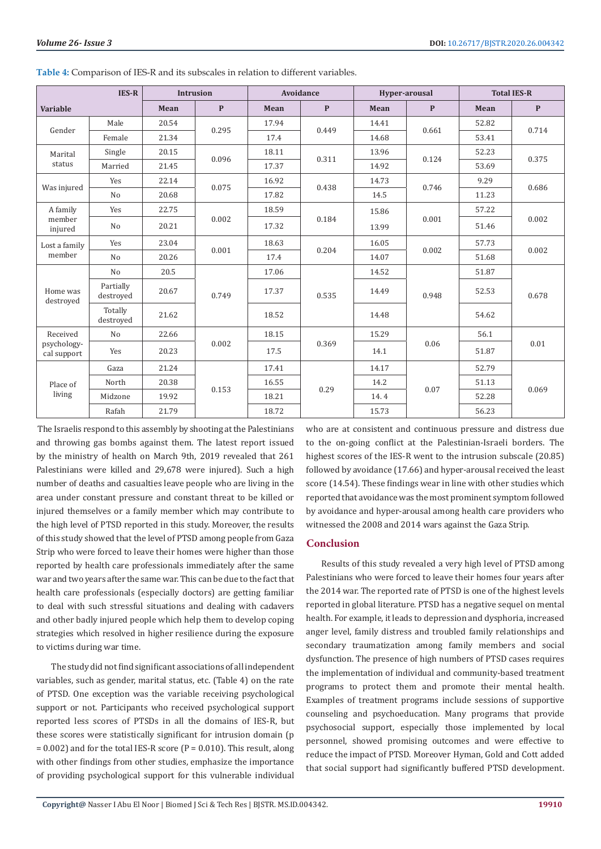| <b>IES-R</b>                           |                        | <b>Intrusion</b> |              | Avoidance |              | Hyper-arousal |              | <b>Total IES-R</b> |              |
|----------------------------------------|------------------------|------------------|--------------|-----------|--------------|---------------|--------------|--------------------|--------------|
| <b>Variable</b>                        |                        | Mean             | $\mathbf{P}$ | Mean      | $\mathbf{P}$ | Mean          | $\mathbf{P}$ | Mean               | $\mathbf{P}$ |
| Gender                                 | Male                   | 20.54            | 0.295        | 17.94     | 0.449        | 14.41         | 0.661        | 52.82              | 0.714        |
|                                        | Female                 | 21.34            |              | 17.4      |              | 14.68         |              | 53.41              |              |
| Marital<br>status                      | Single                 | 20.15            | 0.096        | 18.11     | 0.311        | 13.96         | 0.124        | 52.23              | 0.375        |
|                                        | Married                | 21.45            |              | 17.37     |              | 14.92         |              | 53.69              |              |
| Was injured                            | Yes                    | 22.14            | 0.075        | 16.92     | 0.438        | 14.73         | 0.746        | 9.29               | 0.686        |
|                                        | N <sub>o</sub>         | 20.68            |              | 17.82     |              | 14.5          |              | 11.23              |              |
| A family<br>member<br>injured          | Yes                    | 22.75            | 0.002        | 18.59     | 0.184        | 15.86         | 0.001        | 57.22              | 0.002        |
|                                        | N <sub>o</sub>         | 20.21            |              | 17.32     |              | 13.99         |              | 51.46              |              |
| Lost a family                          | Yes                    | 23.04            | 0.001        | 18.63     | 0.204        | 16.05         | 0.002        | 57.73              | 0.002        |
| member                                 | N <sub>o</sub>         | 20.26            |              | 17.4      |              | 14.07         |              | 51.68              |              |
| Home was<br>destroved                  | N <sub>0</sub>         | 20.5             | 0.749        | 17.06     | 0.535        | 14.52         | 0.948        | 51.87              | 0.678        |
|                                        | Partially<br>destroved | 20.67            |              | 17.37     |              | 14.49         |              | 52.53              |              |
|                                        | Totally<br>destroved   | 21.62            |              | 18.52     |              | 14.48         |              | 54.62              |              |
| Received<br>psychology-<br>cal support | N <sub>o</sub>         | 22.66            | 0.002        | 18.15     | 0.369        | 15.29         | 0.06         | 56.1               | 0.01         |
|                                        | Yes                    | 20.23            |              | 17.5      |              | 14.1          |              | 51.87              |              |
| Place of<br>living                     | Gaza                   | 21.24            | 0.153        | 17.41     | 0.29         | 14.17         | 0.07         | 52.79              | 0.069        |
|                                        | North                  | 20.38            |              | 16.55     |              | 14.2          |              | 51.13              |              |
|                                        | Midzone                | 19.92            |              | 18.21     |              | 14.4          |              | 52.28              |              |
|                                        | Rafah                  | 21.79            |              | 18.72     |              | 15.73         |              | 56.23              |              |

**Table 4:** Comparison of IES-R and its subscales in relation to different variables.

 The Israelis respond to this assembly by shooting at the Palestinians and throwing gas bombs against them. The latest report issued by the ministry of health on March 9th, 2019 revealed that 261 Palestinians were killed and 29,678 were injured). Such a high number of deaths and casualties leave people who are living in the area under constant pressure and constant threat to be killed or injured themselves or a family member which may contribute to the high level of PTSD reported in this study. Moreover, the results of this study showed that the level of PTSD among people from Gaza Strip who were forced to leave their homes were higher than those reported by health care professionals immediately after the same war and two years after the same war. This can be due to the fact that health care professionals (especially doctors) are getting familiar to deal with such stressful situations and dealing with cadavers and other badly injured people which help them to develop coping strategies which resolved in higher resilience during the exposure to victims during war time.

The study did not find significant associations of all independent variables, such as gender, marital status, etc. (Table 4) on the rate of PTSD. One exception was the variable receiving psychological support or not. Participants who received psychological support reported less scores of PTSDs in all the domains of IES-R, but these scores were statistically significant for intrusion domain (p  $= 0.002$ ) and for the total IES-R score (P = 0.010). This result, along with other findings from other studies, emphasize the importance of providing psychological support for this vulnerable individual

who are at consistent and continuous pressure and distress due to the on-going conflict at the Palestinian-Israeli borders. The highest scores of the IES-R went to the intrusion subscale (20.85) followed by avoidance (17.66) and hyper-arousal received the least score (14.54). These findings wear in line with other studies which reported that avoidance was the most prominent symptom followed by avoidance and hyper-arousal among health care providers who witnessed the 2008 and 2014 wars against the Gaza Strip.

#### **Conclusion**

Results of this study revealed a very high level of PTSD among Palestinians who were forced to leave their homes four years after the 2014 war. The reported rate of PTSD is one of the highest levels reported in global literature. PTSD has a negative sequel on mental health. For example, it leads to depression and dysphoria, increased anger level, family distress and troubled family relationships and secondary traumatization among family members and social dysfunction. The presence of high numbers of PTSD cases requires the implementation of individual and community-based treatment programs to protect them and promote their mental health. Examples of treatment programs include sessions of supportive counseling and psychoeducation. Many programs that provide psychosocial support, especially those implemented by local personnel, showed promising outcomes and were effective to reduce the impact of PTSD. Moreover Hyman, Gold and Cott added that social support had significantly buffered PTSD development.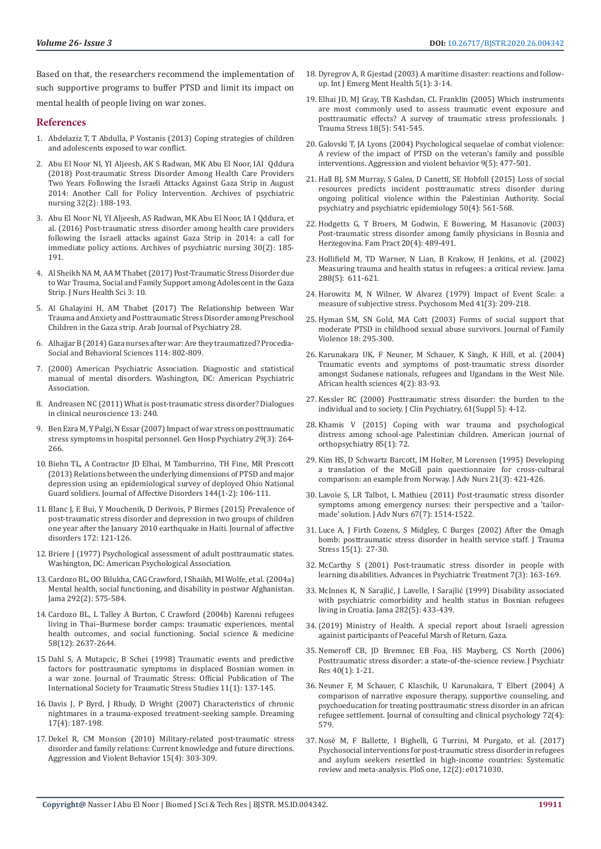Based on that, the researchers recommend the implementation of such supportive programs to buffer PTSD and limit its impact on mental health of people living on war zones.

#### **References**

- 1. [Abdelaziz T, T Abdulla, P Vostanis \(2013\) Coping strategies of children](https://refugeeresearch.net/wp-content/uploads/2017/06/Coping-strategies-of-children-and-adolescents-exposed-to-war-conflict.pdf)  [and adolescents exposed to war conflict.](https://refugeeresearch.net/wp-content/uploads/2017/06/Coping-strategies-of-children-and-adolescents-exposed-to-war-conflict.pdf)
- 2. [Abu El Noor NI, YI Aljeesh, AK S Radwan, MK Abu El Noor, IAI Qddura](https://pubmed.ncbi.nlm.nih.gov/29579511-post-traumatic-stress-disorder-among-health-care-providers-two-years-following-the-israeli-attacks-against-gaza-strip-in-august-2014-another-call-for-policy-intervention/)  [\(2018\) Post-traumatic Stress Disorder Among Health Care Providers](https://pubmed.ncbi.nlm.nih.gov/29579511-post-traumatic-stress-disorder-among-health-care-providers-two-years-following-the-israeli-attacks-against-gaza-strip-in-august-2014-another-call-for-policy-intervention/)  [Two Years Following the Israeli Attacks Against Gaza Strip in August](https://pubmed.ncbi.nlm.nih.gov/29579511-post-traumatic-stress-disorder-among-health-care-providers-two-years-following-the-israeli-attacks-against-gaza-strip-in-august-2014-another-call-for-policy-intervention/)  [2014: Another Call for Policy Intervention. Archives of psychiatric](https://pubmed.ncbi.nlm.nih.gov/29579511-post-traumatic-stress-disorder-among-health-care-providers-two-years-following-the-israeli-attacks-against-gaza-strip-in-august-2014-another-call-for-policy-intervention/)  [nursing 32\(2\): 188-193.](https://pubmed.ncbi.nlm.nih.gov/29579511-post-traumatic-stress-disorder-among-health-care-providers-two-years-following-the-israeli-attacks-against-gaza-strip-in-august-2014-another-call-for-policy-intervention/)
- 3. [Abu El Noor NI, YI Aljeesh, AS Radwan, MK Abu El Noor, IA I Qddura, et](https://pubmed.ncbi.nlm.nih.gov/26992869-post-traumatic-stress-disorder-among-health-care-providers-following-the-israeli-attacks-against-gaza-strip-in-2014-a-call-for-immediate-policy-actions/)  [al. \(2016\) Post-traumatic stress disorder among health care providers](https://pubmed.ncbi.nlm.nih.gov/26992869-post-traumatic-stress-disorder-among-health-care-providers-following-the-israeli-attacks-against-gaza-strip-in-2014-a-call-for-immediate-policy-actions/)  [following the Israeli attacks against Gaza Strip in 2014: a call for](https://pubmed.ncbi.nlm.nih.gov/26992869-post-traumatic-stress-disorder-among-health-care-providers-following-the-israeli-attacks-against-gaza-strip-in-2014-a-call-for-immediate-policy-actions/)  [immediate policy actions. Archives of psychiatric nursing 30\(2\): 185-](https://pubmed.ncbi.nlm.nih.gov/26992869-post-traumatic-stress-disorder-among-health-care-providers-following-the-israeli-attacks-against-gaza-strip-in-2014-a-call-for-immediate-policy-actions/) [191.](https://pubmed.ncbi.nlm.nih.gov/26992869-post-traumatic-stress-disorder-among-health-care-providers-following-the-israeli-attacks-against-gaza-strip-in-2014-a-call-for-immediate-policy-actions/)
- 4. [Al Sheikh NA M, AA M Thabet \(2017\) Post-Traumatic Stress Disorder due](https://pdfs.semanticscholar.org/e3ac/a7f0f4dd3ef0fc6cba1881d9c8d6548b1e40.pdf)  [to War Trauma, Social and Family Support among Adolescent in the Gaza](https://pdfs.semanticscholar.org/e3ac/a7f0f4dd3ef0fc6cba1881d9c8d6548b1e40.pdf)  [Strip. J Nurs Health Sci 3: 10.](https://pdfs.semanticscholar.org/e3ac/a7f0f4dd3ef0fc6cba1881d9c8d6548b1e40.pdf)
- 5. [Al Ghalayini H, AM Thabet \(2017\) The Relationship between War](https://refugeeresearch.net/wp-content/uploads/2017/06/The-relationship-between-war-trauma-and-anxiety-and-mental-health-Heba-final-version.pdf)  [Trauma and Anxiety and Posttraumatic Stress Disorder among Preschool](https://refugeeresearch.net/wp-content/uploads/2017/06/The-relationship-between-war-trauma-and-anxiety-and-mental-health-Heba-final-version.pdf)  [Children in the Gaza strip. Arab Journal of Psychiatry 28.](https://refugeeresearch.net/wp-content/uploads/2017/06/The-relationship-between-war-trauma-and-anxiety-and-mental-health-Heba-final-version.pdf)
- 6. [Alhajjar B \(2014\) Gaza nurses after war: Are they traumatized? Procedia-](https://www.sciencedirect.com/science/article/pii/S1877042813054293)[Social and Behavioral Sciences 114: 802-809.](https://www.sciencedirect.com/science/article/pii/S1877042813054293)
- 7. (2000) American Psychiatric Association. Diagnostic and statistical manual of mental disorders. Washington, DC: American Psychiatric Association.
- 8. Andreasen NC (2011) What is post-traumatic stress disorder? Dialogues in clinical neuroscience 13: 240.
- 9. [Ben Ezra M, Y Palgi, N Essar \(2007\) Impact of war stress on posttraumatic](https://pubmed.ncbi.nlm.nih.gov/17484945-impact-of-war-stress-on-posttraumatic-stress-symptoms-in-hospital-personnel/)  [stress symptoms in hospital personnel. Gen Hosp Psychiatry 29\(3\): 264-](https://pubmed.ncbi.nlm.nih.gov/17484945-impact-of-war-stress-on-posttraumatic-stress-symptoms-in-hospital-personnel/) [266.](https://pubmed.ncbi.nlm.nih.gov/17484945-impact-of-war-stress-on-posttraumatic-stress-symptoms-in-hospital-personnel/)
- 10. [Biehn TL, A Contractor JD Elhai, M Tamburrino, TH Fine, MR Prescott](https://pubmed.ncbi.nlm.nih.gov/22974471-relations-between-the-underlying-dimensions-of-ptsd-and-major-depression-using-an-epidemiological-survey-of-deployed-ohio-national-guard-soldiers/)  [\(2013\) Relations between the underlying dimensions of PTSD and major](https://pubmed.ncbi.nlm.nih.gov/22974471-relations-between-the-underlying-dimensions-of-ptsd-and-major-depression-using-an-epidemiological-survey-of-deployed-ohio-national-guard-soldiers/)  [depression using an epidemiological survey of deployed Ohio National](https://pubmed.ncbi.nlm.nih.gov/22974471-relations-between-the-underlying-dimensions-of-ptsd-and-major-depression-using-an-epidemiological-survey-of-deployed-ohio-national-guard-soldiers/)  [Guard soldiers. Journal of Affective Disorders 144\(1-2\): 106-111.](https://pubmed.ncbi.nlm.nih.gov/22974471-relations-between-the-underlying-dimensions-of-ptsd-and-major-depression-using-an-epidemiological-survey-of-deployed-ohio-national-guard-soldiers/)
- 11. [Blanc J, E Bui, Y Mouchenik, D Derivois, P Birmes \(2015\) Prevalence of](https://pubmed.ncbi.nlm.nih.gov/25451405-prevalence-of-post-traumatic-stress-disorder-and-depression-in-two-groups-of-children-one-year-after-the-january-2010-earthquake-in-haiti/)  [post-traumatic stress disorder and depression in two groups of children](https://pubmed.ncbi.nlm.nih.gov/25451405-prevalence-of-post-traumatic-stress-disorder-and-depression-in-two-groups-of-children-one-year-after-the-january-2010-earthquake-in-haiti/)  [one year after the January 2010 earthquake in Haiti. Journal of affective](https://pubmed.ncbi.nlm.nih.gov/25451405-prevalence-of-post-traumatic-stress-disorder-and-depression-in-two-groups-of-children-one-year-after-the-january-2010-earthquake-in-haiti/)  [disorders 172: 121-126.](https://pubmed.ncbi.nlm.nih.gov/25451405-prevalence-of-post-traumatic-stress-disorder-and-depression-in-two-groups-of-children-one-year-after-the-january-2010-earthquake-in-haiti/)
- 12. Briere J (1977) Psychological assessment of adult posttraumatic states. Washington, DC: American Psychological Association.
- 13. [Cardozo BL, OO Bilukha, CAG Crawford, I Shaikh, MI Wolfe, et al. \(2004a\)](https://pubmed.ncbi.nlm.nih.gov/15292083-mental-health-social-functioning-and-disability-in-postwar-afghanistan/)  [Mental health, social functioning, and disability in postwar Afghanistan.](https://pubmed.ncbi.nlm.nih.gov/15292083-mental-health-social-functioning-and-disability-in-postwar-afghanistan/)  [Jama 292\(2\): 575-584.](https://pubmed.ncbi.nlm.nih.gov/15292083-mental-health-social-functioning-and-disability-in-postwar-afghanistan/)
- 14. [Cardozo BL, L Talley A Burton, C Crawford \(2004b\) Karenni refugees](https://pubmed.ncbi.nlm.nih.gov/15081211-karenni-refugees-living-in-thai-burmese-border-camps-traumatic-experiences-mental-health-outcomes-and-social-functioning/)  [living in Thai–Burmese border camps: traumatic experiences, mental](https://pubmed.ncbi.nlm.nih.gov/15081211-karenni-refugees-living-in-thai-burmese-border-camps-traumatic-experiences-mental-health-outcomes-and-social-functioning/)  [health outcomes, and social functioning. Social science & medicine](https://pubmed.ncbi.nlm.nih.gov/15081211-karenni-refugees-living-in-thai-burmese-border-camps-traumatic-experiences-mental-health-outcomes-and-social-functioning/)  [58\(12\): 2637-2644.](https://pubmed.ncbi.nlm.nih.gov/15081211-karenni-refugees-living-in-thai-burmese-border-camps-traumatic-experiences-mental-health-outcomes-and-social-functioning/)
- 15. [Dahl S, A Mutapcic, B Schei \(1998\) Traumatic events and predictive](https://pubmed.ncbi.nlm.nih.gov/9479682-traumatic-events-and-predictive-factors-for-posttraumatic-symptoms-in-displaced-bosnian-women-in-a-war-zone/)  [factors for posttraumatic symptoms in displaced Bosnian women in](https://pubmed.ncbi.nlm.nih.gov/9479682-traumatic-events-and-predictive-factors-for-posttraumatic-symptoms-in-displaced-bosnian-women-in-a-war-zone/)  [a war zone. Journal of Traumatic Stress: Official Publication of The](https://pubmed.ncbi.nlm.nih.gov/9479682-traumatic-events-and-predictive-factors-for-posttraumatic-symptoms-in-displaced-bosnian-women-in-a-war-zone/)  [International Society for Traumatic Stress Studies 11\(1\): 137-145.](https://pubmed.ncbi.nlm.nih.gov/9479682-traumatic-events-and-predictive-factors-for-posttraumatic-symptoms-in-displaced-bosnian-women-in-a-war-zone/)
- 16. [Davis J, P Byrd, J Rhudy, D Wright \(2007\) Characteristics of chronic](https://psycnet.apa.org/record/2007-19418-001)  [nightmares in a trauma-exposed treatment-seeking sample. Dreaming](https://psycnet.apa.org/record/2007-19418-001)  [17\(4\): 187-198.](https://psycnet.apa.org/record/2007-19418-001)
- 17. [Dekel R, CM Monson \(2010\) Military-related post-traumatic stress](https://www.sciencedirect.com/science/article/abs/pii/S1359178910000273)  [disorder and family relations: Current knowledge and future directions.](https://www.sciencedirect.com/science/article/abs/pii/S1359178910000273)  [Aggression and Violent Behavior 15\(4\): 303-309.](https://www.sciencedirect.com/science/article/abs/pii/S1359178910000273)
- 18. [Dyregrov A, R Gjestad \(2003\) A maritime disaster: reactions and follow](https://pubmed.ncbi.nlm.nih.gov/12722485-a-maritime-disaster-reactions-and-follow-up/)[up. Int J Emerg Ment Health 5\(1\): 3-14.](https://pubmed.ncbi.nlm.nih.gov/12722485-a-maritime-disaster-reactions-and-follow-up/)
- 19. [Elhai JD, MJ Gray, TB Kashdan, CL Franklin \(2005\) Which instruments](https://pubmed.ncbi.nlm.nih.gov/16281252-which-instruments-are-most-commonly-used-to-assess-traumatic-event-exposure-and-posttraumatic-effects-a-survey-of-traumatic-stress-professionals/) [are most commonly used to assess traumatic event exposure and](https://pubmed.ncbi.nlm.nih.gov/16281252-which-instruments-are-most-commonly-used-to-assess-traumatic-event-exposure-and-posttraumatic-effects-a-survey-of-traumatic-stress-professionals/) [posttraumatic effects? A survey of traumatic stress professionals. J](https://pubmed.ncbi.nlm.nih.gov/16281252-which-instruments-are-most-commonly-used-to-assess-traumatic-event-exposure-and-posttraumatic-effects-a-survey-of-traumatic-stress-professionals/) [Trauma Stress 18\(5\): 541-545.](https://pubmed.ncbi.nlm.nih.gov/16281252-which-instruments-are-most-commonly-used-to-assess-traumatic-event-exposure-and-posttraumatic-effects-a-survey-of-traumatic-stress-professionals/)
- 20. [Galovski T, JA Lyons \(2004\) Psychological sequelae of combat violence:](https://www.sciencedirect.com/science/article/abs/pii/S1359178903000454) [A review of the impact of PTSD on the veteran's family and possible](https://www.sciencedirect.com/science/article/abs/pii/S1359178903000454) [interventions. Aggression and violent behavior 9\(5\): 477-501.](https://www.sciencedirect.com/science/article/abs/pii/S1359178903000454)
- 21. [Hall BJ, SM Murray, S Galea, D Canetti, SE Hobfoll \(2015\) Loss of social](https://pubmed.ncbi.nlm.nih.gov/25398199-loss-of-social-resources-predicts-incident-posttraumatic-stress-disorder-during-ongoing-political-violence-within-the-palestinian-authority/) [resources predicts incident posttraumatic stress disorder during](https://pubmed.ncbi.nlm.nih.gov/25398199-loss-of-social-resources-predicts-incident-posttraumatic-stress-disorder-during-ongoing-political-violence-within-the-palestinian-authority/) [ongoing political violence within the Palestinian Authority. Social](https://pubmed.ncbi.nlm.nih.gov/25398199-loss-of-social-resources-predicts-incident-posttraumatic-stress-disorder-during-ongoing-political-violence-within-the-palestinian-authority/) [psychiatry and psychiatric epidemiology 50\(4\): 561-568.](https://pubmed.ncbi.nlm.nih.gov/25398199-loss-of-social-resources-predicts-incident-posttraumatic-stress-disorder-during-ongoing-political-violence-within-the-palestinian-authority/)
- 22. [Hodgetts G, T Broers, M Godwin, E Bowering, M Hasanovic \(2003\)](https://academic.oup.com/fampra/article/20/4/489/625256) [Post-traumatic stress disorder among family physicians in Bosnia and](https://academic.oup.com/fampra/article/20/4/489/625256) [Herzegovina. Fam Pract 20\(4\): 489-491.](https://academic.oup.com/fampra/article/20/4/489/625256)
- 23. [Hollifield M, TD Warner, N Lian, B Krakow, H Jenkins, et al. \(2002\)](https://pubmed.ncbi.nlm.nih.gov/12150673-measuring-trauma-and-health-status-in-refugees-a-critical-review/) [Measuring trauma and health status in refugees: a critical review. Jama](https://pubmed.ncbi.nlm.nih.gov/12150673-measuring-trauma-and-health-status-in-refugees-a-critical-review/) [288\(5\): 611-621.](https://pubmed.ncbi.nlm.nih.gov/12150673-measuring-trauma-and-health-status-in-refugees-a-critical-review/)
- 24. [Horowitz M, N Wilner, W Alvarez \(1979\) Impact of Event Scale: a](https://pubmed.ncbi.nlm.nih.gov/472086-impact-of-event-scale-a-measure-of-subjective-stress/) [measure of subjective stress. Psychosom Med 41\(3\): 209-218.](https://pubmed.ncbi.nlm.nih.gov/472086-impact-of-event-scale-a-measure-of-subjective-stress/)
- 25. [Hyman SM, SN Gold, MA Cott \(2003\) Forms of social support that](https://link.springer.com/article/10.1023/A:1025117311660) [moderate PTSD in childhood sexual abuse survivors. Journal of Family](https://link.springer.com/article/10.1023/A:1025117311660) [Violence 18: 295-300.](https://link.springer.com/article/10.1023/A:1025117311660)
- 26. [Karunakara UK, F Neuner, M Schauer, K Singh, K Hill, et al. \(2004\)](https://pubmed.ncbi.nlm.nih.gov/15477186-traumatic-events-and-symptoms-of-post-traumatic-stress-disorder-amongst-sudanese-nationals-refugees-and-ugandans-in-the-west-nile/) [Traumatic events and symptoms of post-traumatic stress disorder](https://pubmed.ncbi.nlm.nih.gov/15477186-traumatic-events-and-symptoms-of-post-traumatic-stress-disorder-amongst-sudanese-nationals-refugees-and-ugandans-in-the-west-nile/) [amongst Sudanese nationals, refugees and Ugandans in the West Nile.](https://pubmed.ncbi.nlm.nih.gov/15477186-traumatic-events-and-symptoms-of-post-traumatic-stress-disorder-amongst-sudanese-nationals-refugees-and-ugandans-in-the-west-nile/) [African health sciences 4\(2\): 83-93.](https://pubmed.ncbi.nlm.nih.gov/15477186-traumatic-events-and-symptoms-of-post-traumatic-stress-disorder-amongst-sudanese-nationals-refugees-and-ugandans-in-the-west-nile/)
- 27. [Kessler RC \(2000\) Posttraumatic stress disorder: the burden to the](https://pubmed.ncbi.nlm.nih.gov/10761674-posttraumatic-stress-disorder-the-burden-to-the-individual-and-to-society/) [individual and to society. J Clin Psychiatry, 61\(Suppl 5\): 4-12.](https://pubmed.ncbi.nlm.nih.gov/10761674-posttraumatic-stress-disorder-the-burden-to-the-individual-and-to-society/)
- 28. [Khamis V \(2015\) Coping with war trauma and psychological](https://pubmed.ncbi.nlm.nih.gov/25642655-coping-with-war-trauma-and-psychological-distress-among-school-age-palestinian-children/) [distress among school-age Palestinian children. American journal of](https://pubmed.ncbi.nlm.nih.gov/25642655-coping-with-war-trauma-and-psychological-distress-among-school-age-palestinian-children/) [orthopsychiatry 85\(1\): 72.](https://pubmed.ncbi.nlm.nih.gov/25642655-coping-with-war-trauma-and-psychological-distress-among-school-age-palestinian-children/)
- 29. [Kim HS, D Schwartz Barcott, IM Holter, M Lorensen \(1995\) Developing](https://pubmed.ncbi.nlm.nih.gov/7745193-developing-a-translation-of-the-mcgill-pain-questionnaire-for-cross-cultural-comparison-an-example-from-norway/) [a translation of the McGill pain questionnaire for cross-cultural](https://pubmed.ncbi.nlm.nih.gov/7745193-developing-a-translation-of-the-mcgill-pain-questionnaire-for-cross-cultural-comparison-an-example-from-norway/) [comparison: an example from Norway. J Adv Nurs 21\(3\): 421-426.](https://pubmed.ncbi.nlm.nih.gov/7745193-developing-a-translation-of-the-mcgill-pain-questionnaire-for-cross-cultural-comparison-an-example-from-norway/)
- 30. [Lavoie S, LR Talbot, L Mathieu \(2011\) Post-traumatic stress disorder](https://pubmed.ncbi.nlm.nih.gov/21323975-post-traumatic-stress-disorder-symptoms-among-emergency-nurses-their-perspective-and-a-tailor-made-solution/) [symptoms among emergency nurses: their perspective and a 'tailor](https://pubmed.ncbi.nlm.nih.gov/21323975-post-traumatic-stress-disorder-symptoms-among-emergency-nurses-their-perspective-and-a-tailor-made-solution/)[made' solution. J Adv Nurs 67\(7\): 1514-1522.](https://pubmed.ncbi.nlm.nih.gov/21323975-post-traumatic-stress-disorder-symptoms-among-emergency-nurses-their-perspective-and-a-tailor-made-solution/)
- 31. [Luce A, J Firth Cozens, S Midgley, C Burges \(2002\) After the Omagh](https://pubmed.ncbi.nlm.nih.gov/11936718-after-the-omagh-bomb-posttraumatic-stress-disorder-in-health-service-staff/) [bomb: posttraumatic stress disorder in health service staff. J Trauma](https://pubmed.ncbi.nlm.nih.gov/11936718-after-the-omagh-bomb-posttraumatic-stress-disorder-in-health-service-staff/) [Stress 15\(1\): 27-30.](https://pubmed.ncbi.nlm.nih.gov/11936718-after-the-omagh-bomb-posttraumatic-stress-disorder-in-health-service-staff/)
- 32. [McCarthy S \(2001\) Post-traumatic stress disorder in people with](https://www.cambridge.org/core/journals/advances-in-psychiatric-treatment/article/posttraumatic-stress-disorder-in-people-with-learning-disability/B179AB5583E877EB2C972602A7F79CA3) [learning disabilities. Advances in Psychiatric Treatment 7\(3\): 163-169.](https://www.cambridge.org/core/journals/advances-in-psychiatric-treatment/article/posttraumatic-stress-disorder-in-people-with-learning-disability/B179AB5583E877EB2C972602A7F79CA3)
- 33. [McInnes K, N Sarajlić, J Lavelle, I Sarajlić \(1999\) Disability associated](https://pubmed.ncbi.nlm.nih.gov/10442658-disability-associated-with-psychiatric-comorbidity-and-health-status-in-bosnian-refugees-living-in-croatia/) [with psychiatric comorbidity and health status in Bosnian refugees](https://pubmed.ncbi.nlm.nih.gov/10442658-disability-associated-with-psychiatric-comorbidity-and-health-status-in-bosnian-refugees-living-in-croatia/) [living in Croatia. Jama 282\(5\): 433-439.](https://pubmed.ncbi.nlm.nih.gov/10442658-disability-associated-with-psychiatric-comorbidity-and-health-status-in-bosnian-refugees-living-in-croatia/)
- 34.(2019) Ministry of Health. A special report about Israeli agression againist participants of Peaceful Marsh of Return. Gaza.
- 35. [Nemeroff CB, JD Bremner, EB Foa, HS Mayberg, CS North \(2006\)](https://pubmed.ncbi.nlm.nih.gov/16242154-posttraumatic-stress-disorder-a-state-of-the-science-review/) [Posttraumatic stress disorder: a state-of-the-science review. J Psychiatr](https://pubmed.ncbi.nlm.nih.gov/16242154-posttraumatic-stress-disorder-a-state-of-the-science-review/) [Res 40\(1\): 1-21.](https://pubmed.ncbi.nlm.nih.gov/16242154-posttraumatic-stress-disorder-a-state-of-the-science-review/)
- 36. [Neuner F, M Schauer, C Klaschik, U Karunakara, T Elbert \(2004\) A](https://pubmed.ncbi.nlm.nih.gov/15301642-a-comparison-of-narrative-exposure-therapy-supportive-counseling-and-psychoeducation-for-treating-posttraumatic-stress-disorder-in-an-african-refugee-settlement/) [comparison of narrative exposure therapy, supportive counseling, and](https://pubmed.ncbi.nlm.nih.gov/15301642-a-comparison-of-narrative-exposure-therapy-supportive-counseling-and-psychoeducation-for-treating-posttraumatic-stress-disorder-in-an-african-refugee-settlement/) [psychoeducation for treating posttraumatic stress disorder in an african](https://pubmed.ncbi.nlm.nih.gov/15301642-a-comparison-of-narrative-exposure-therapy-supportive-counseling-and-psychoeducation-for-treating-posttraumatic-stress-disorder-in-an-african-refugee-settlement/) [refugee settlement. Journal of consulting and clinical psychology 72\(4\):](https://pubmed.ncbi.nlm.nih.gov/15301642-a-comparison-of-narrative-exposure-therapy-supportive-counseling-and-psychoeducation-for-treating-posttraumatic-stress-disorder-in-an-african-refugee-settlement/) [579.](https://pubmed.ncbi.nlm.nih.gov/15301642-a-comparison-of-narrative-exposure-therapy-supportive-counseling-and-psychoeducation-for-treating-posttraumatic-stress-disorder-in-an-african-refugee-settlement/)
- 37. [Nosè M, F Ballette, I Bighelli, G Turrini, M Purgato, et al. \(2017\)](https://pubmed.ncbi.nlm.nih.gov/28151992-psychosocial-interventions-for-post-traumatic-stress-disorder-in-refugees-and-asylum-seekers-resettled-in-high-income-countries-systematic-review-and-meta-analysis/) [Psychosocial interventions for post-traumatic stress disorder in refugees](https://pubmed.ncbi.nlm.nih.gov/28151992-psychosocial-interventions-for-post-traumatic-stress-disorder-in-refugees-and-asylum-seekers-resettled-in-high-income-countries-systematic-review-and-meta-analysis/) [and asylum seekers resettled in high-income countries: Systematic](https://pubmed.ncbi.nlm.nih.gov/28151992-psychosocial-interventions-for-post-traumatic-stress-disorder-in-refugees-and-asylum-seekers-resettled-in-high-income-countries-systematic-review-and-meta-analysis/) [review and meta-analysis. PloS one, 12\(2\): e0171030.](https://pubmed.ncbi.nlm.nih.gov/28151992-psychosocial-interventions-for-post-traumatic-stress-disorder-in-refugees-and-asylum-seekers-resettled-in-high-income-countries-systematic-review-and-meta-analysis/)